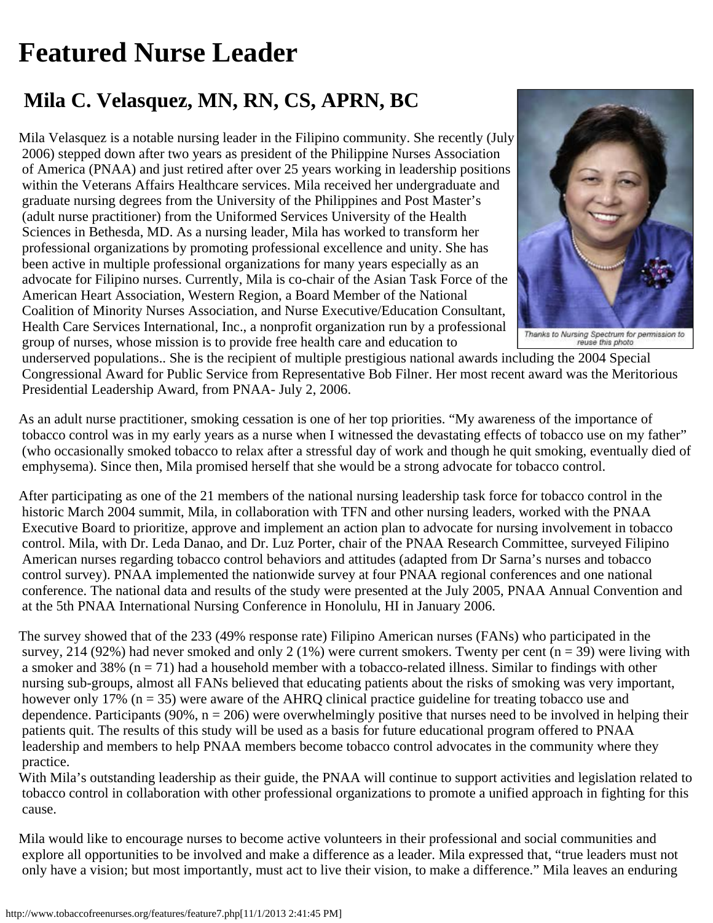## <span id="page-0-0"></span>**Featured Nurse Leader**

## **Mila C. Velasquez, MN, RN, CS, APRN, BC**

Mila Velasquez is a notable nursing leader in the Filipino community. She recently (July 2006) stepped down after two years as president of the Philippine Nurses Association of America (PNAA) and just retired after over 25 years working in leadership positions within the Veterans Affairs Healthcare services. Mila received her undergraduate and graduate nursing degrees from the University of the Philippines and Post Master's (adult nurse practitioner) from the Uniformed Services University of the Health Sciences in Bethesda, MD. As a nursing leader, Mila has worked to transform her professional organizations by promoting professional excellence and unity. She has been active in multiple professional organizations for many years especially as an advocate for Filipino nurses. Currently, Mila is co-chair of the Asian Task Force of the American Heart Association, Western Region, a Board Member of the National Coalition of Minority Nurses Association, and Nurse Executive/Education Consultant, Health Care Services International, Inc., a nonprofit organization run by a professional group of nurses, whose mission is to provide free health care and education to



Thenks to Nursing Spectrum for permission to<br>reuse this photo

 underserved populations.. She is the recipient of multiple prestigious national awards including the 2004 Special Congressional Award for Public Service from Representative Bob Filner. Her most recent award was the Meritorious Presidential Leadership Award, from PNAA- July 2, 2006.

As an adult nurse practitioner, smoking cessation is one of her top priorities. "My awareness of the importance of tobacco control was in my early years as a nurse when I witnessed the devastating effects of tobacco use on my father" (who occasionally smoked tobacco to relax after a stressful day of work and though he quit smoking, eventually died of emphysema). Since then, Mila promised herself that she would be a strong advocate for tobacco control.

After participating as one of the 21 members of the national nursing leadership task force for tobacco control in the historic March 2004 summit, Mila, in collaboration with TFN and other nursing leaders, worked with the PNAA Executive Board to prioritize, approve and implement an action plan to advocate for nursing involvement in tobacco control. Mila, with Dr. Leda Danao, and Dr. Luz Porter, chair of the PNAA Research Committee, surveyed Filipino American nurses regarding tobacco control behaviors and attitudes (adapted from Dr Sarna's nurses and tobacco control survey). PNAA implemented the nationwide survey at four PNAA regional conferences and one national conference. The national data and results of the study were presented at the July 2005, PNAA Annual Convention and at the 5th PNAA International Nursing Conference in Honolulu, HI in January 2006.

The survey showed that of the 233 (49% response rate) Filipino American nurses (FANs) who participated in the survey, 214 (92%) had never smoked and only 2 (1%) were current smokers. Twenty per cent ( $n = 39$ ) were living with a smoker and 38% (n = 71) had a household member with a tobacco-related illness. Similar to findings with other nursing sub-groups, almost all FANs believed that educating patients about the risks of smoking was very important, however only 17%  $(n = 35)$  were aware of the AHRQ clinical practice guideline for treating tobacco use and dependence. Participants (90%,  $n = 206$ ) were overwhelmingly positive that nurses need to be involved in helping their patients quit. The results of this study will be used as a basis for future educational program offered to PNAA leadership and members to help PNAA members become tobacco control advocates in the community where they practice.

With Mila's outstanding leadership as their guide, the PNAA will continue to support activities and legislation related to tobacco control in collaboration with other professional organizations to promote a unified approach in fighting for this cause.

Mila would like to encourage nurses to become active volunteers in their professional and social communities and explore all opportunities to be involved and make a difference as a leader. Mila expressed that, "true leaders must not only have a vision; but most importantly, must act to live their vision, to make a difference." Mila leaves an enduring